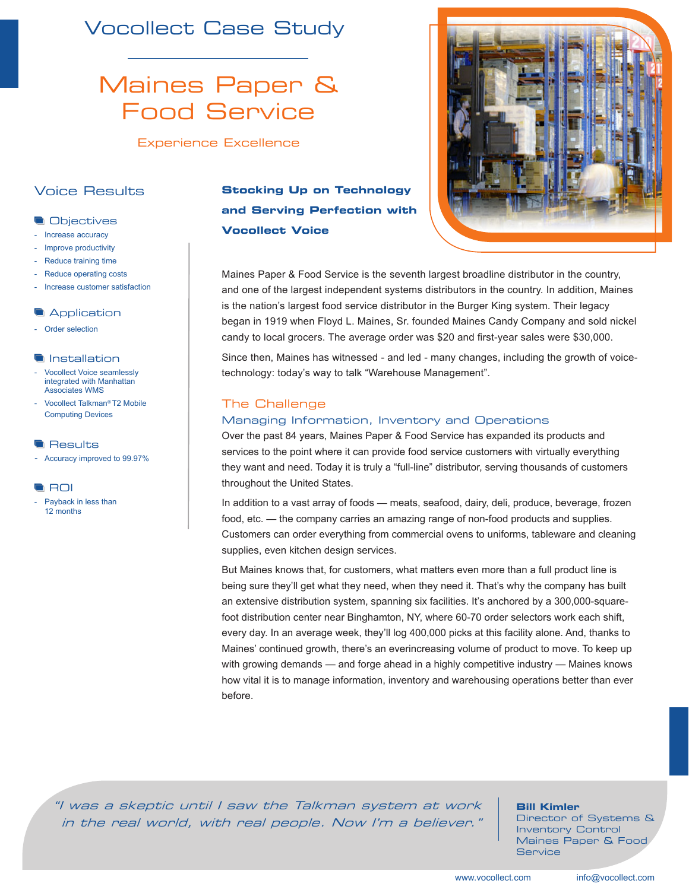## Vocollect Case Study

# Maines Paper & Food Service

Experience Excellence

## Voice Results

## **Objectives**

- Increase accuracy
- Improve productivity
- Reduce training time
- Reduce operating costs
- Increase customer satisfaction

#### **Application**

- Order selection

#### **Installation**

- Vocollect Voice seamlessly integrated with Manhattan Associates WMS
- Vocollect Talkman*®* T2 Mobile Computing Devices

#### **Results**

- Accuracy improved to 99.97%

#### **ROI**

Payback in less than 12 months

## **Stocking Up on Technology and Serving Perfection with Vocollect Voice**



Since then, Maines has witnessed - and led - many changes, including the growth of voicetechnology: today's way to talk "Warehouse Management".

## The Challenge

## Managing Information, Inventory and Operations

Over the past 84 years, Maines Paper & Food Service has expanded its products and services to the point where it can provide food service customers with virtually everything they want and need. Today it is truly a "full-line" distributor, serving thousands of customers throughout the United States.

In addition to a vast array of foods — meats, seafood, dairy, deli, produce, beverage, frozen food, etc. — the company carries an amazing range of non-food products and supplies. Customers can order everything from commercial ovens to uniforms, tableware and cleaning supplies, even kitchen design services.

But Maines knows that, for customers, what matters even more than a full product line is being sure they'll get what they need, when they need it. That's why the company has built an extensive distribution system, spanning six facilities. It's anchored by a 300,000-squarefoot distribution center near Binghamton, NY, where 60-70 order selectors work each shift, every day. In an average week, they'll log 400,000 picks at this facility alone. And, thanks to Maines' continued growth, there's an everincreasing volume of product to move. To keep up with growing demands — and forge ahead in a highly competitive industry — Maines knows how vital it is to manage information, inventory and warehousing operations better than ever before.

"I was a skeptic until I saw the Talkman system at work in the real world, with real people. Now I'm a believer."

#### **Bill Kimler**

Director of Systems & Inventory Control Maines Paper & Food **Service**